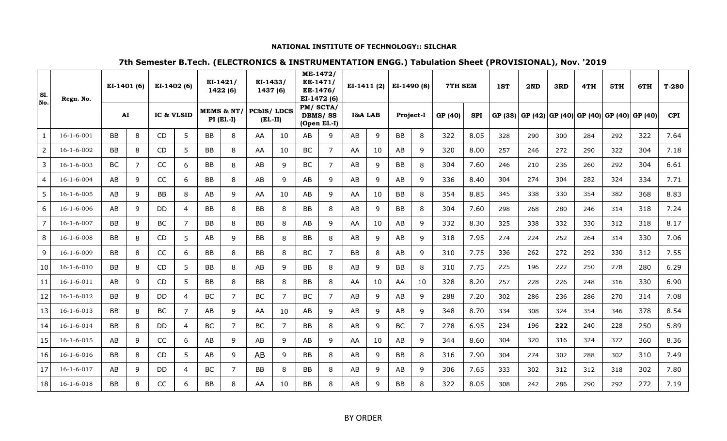### **NATIONAL INSTITUTE OF TECHNOLOGY:: SILCHAR**

# **7th Semester B.Tech. (ELECTRONICS & INSTRUMENTATION ENGG.) Tabulation Sheet (PROVISIONAL), Nov. '2019**

| S1.<br>No.     | Regn. No.          | EI-1401 (6) |                | EI-1402 (6) |                | $EI-1421/$<br>1422 (6)     |   | EI-1433/<br>1437 (6)<br><b>PCbIS/LDCS</b><br>$(E1.-II)$ |    | ME-1472/<br>EE-1471/<br>EE-1476/<br>EI-1472 (6)<br>PM/SCTA/<br><b>DBMS/SS</b><br>$(Open$ El.-I) |                | $EI-1411(2)$<br>I&A LAB |    | EI-1490 (8) |    | <b>7TH SEM</b> |            | 1ST     | 2ND | 3RD | 4TH                             | 5TH | 6TH    | $T-280$    |
|----------------|--------------------|-------------|----------------|-------------|----------------|----------------------------|---|---------------------------------------------------------|----|-------------------------------------------------------------------------------------------------|----------------|-------------------------|----|-------------|----|----------------|------------|---------|-----|-----|---------------------------------|-----|--------|------------|
|                |                    | AI          |                | IC & VLSID  |                | MEMS & NT/<br>$PI$ (El.-I) |   |                                                         |    |                                                                                                 |                |                         |    | Project-I   |    | GP (40)        | <b>SPI</b> | GP (38) |     |     | GP (42) GP (40) GP (40) GP (40) |     | GP(40) | <b>CPI</b> |
| $\mathbf{1}$   | $16 - 1 - 6 - 001$ | <b>BB</b>   | 8              | CD          | 5              | <b>BB</b>                  | 8 | AA                                                      | 10 | AB                                                                                              | 9              | AB                      | 9  | <b>BB</b>   | 8  | 322            | 8.05       | 328     | 290 | 300 | 284                             | 292 | 322    | 7.64       |
| $\overline{2}$ | $16 - 1 - 6 - 002$ | BB          | 8              | CD          | 5              | BB                         | 8 | AA                                                      | 10 | <b>BC</b>                                                                                       | $\overline{7}$ | AA                      | 10 | AB          | 9  | 320            | 8.00       | 257     | 246 | 272 | 290                             | 322 | 304    | 7.18       |
| 3              | $16 - 1 - 6 - 003$ | <b>BC</b>   | $\overline{7}$ | CC          | 6              | <b>BB</b>                  | 8 | AB                                                      | 9  | <b>BC</b>                                                                                       | $\overline{ }$ | AB                      | 9  | <b>BB</b>   | 8  | 304            | 7.60       | 246     | 210 | 236 | 260                             | 292 | 304    | 6.61       |
| $\overline{4}$ | $16 - 1 - 6 - 004$ | AB          | 9              | CC          | 6              | BB                         | 8 | AB                                                      | 9  | AB                                                                                              | 9              | AB                      | 9  | AB          | 9  | 336            | 8.40       | 304     | 274 | 304 | 282                             | 324 | 334    | 7.71       |
| 5              | $16 - 1 - 6 - 005$ | AB          | 9              | BB          | 8              | AB                         | 9 | AA                                                      | 10 | AB                                                                                              | 9              | AA                      | 10 | <b>BB</b>   | 8  | 354            | 8.85       | 345     | 338 | 330 | 354                             | 382 | 368    | 8.83       |
| 6              | $16 - 1 - 6 - 006$ | AB          | 9              | DD          | 4              | BB                         | 8 | <b>BB</b>                                               | 8  | BB                                                                                              | 8              | AB                      | 9  | BB          | 8  | 304            | 7.60       | 298     | 268 | 280 | 246                             | 314 | 318    | 7.24       |
| $\overline{7}$ | $16 - 1 - 6 - 007$ | <b>BB</b>   | 8              | <b>BC</b>   | $\overline{7}$ | <b>BB</b>                  | 8 | <b>BB</b>                                               | 8  | AB                                                                                              | 9              | AA                      | 10 | AB          | 9  | 332            | 8.30       | 325     | 338 | 332 | 330                             | 312 | 318    | 8.17       |
| 8              | $16-1-6-008$       | BB          | 8              | CD          | 5              | AB                         | 9 | <b>BB</b>                                               | 8  | <b>BB</b>                                                                                       | 8              | AB                      | 9  | AB          | 9  | 318            | 7.95       | 274     | 224 | 252 | 264                             | 314 | 330    | 7.06       |
| 9              | $16 - 1 - 6 - 009$ | BB          | 8              | CC          | 6              | BB                         | 8 | <b>BB</b>                                               | 8  | BC                                                                                              | 7              | BB                      | 8  | AB          | 9  | 310            | 7.75       | 336     | 262 | 272 | 292                             | 330 | 312    | 7.55       |
| 10             | $16 - 1 - 6 - 010$ | <b>BB</b>   | 8              | CD          | 5              | BB                         | 8 | AB                                                      | 9  | <b>BB</b>                                                                                       | 8              | AB                      | 9  | <b>BB</b>   | 8  | 310            | 7.75       | 225     | 196 | 222 | 250                             | 278 | 280    | 6.29       |
| 11             | $16-1-6-011$       | AB          | 9              | CD          | 5              | BB                         | 8 | <b>BB</b>                                               | 8  | BB                                                                                              | 8              | AA                      | 10 | AA          | 10 | 328            | 8.20       | 257     | 228 | 226 | 248                             | 316 | 330    | 6.90       |
| 12             | 16-1-6-012         | BB          | 8              | DD          | 4              | BC                         | 7 | BC                                                      | 7  | BC                                                                                              | 7              | AB                      | 9  | AB          | 9  | 288            | 7.20       | 302     | 286 | 236 | 286                             | 270 | 314    | 7.08       |
| 13             | $16 - 1 - 6 - 013$ | <b>BB</b>   | 8              | BC          | $\overline{7}$ | AB                         | 9 | AA                                                      | 10 | AB                                                                                              | 9              | AB                      | 9  | AB          | 9  | 348            | 8.70       | 334     | 308 | 324 | 354                             | 346 | 378    | 8.54       |
| 14             | $16 - 1 - 6 - 014$ | BB          | 8              | DD          | $\overline{4}$ | <b>BC</b>                  | 7 | BC                                                      | 7  | BB                                                                                              | 8              | AB                      | 9  | BC          | 7  | 278            | 6.95       | 234     | 196 | 222 | 240                             | 228 | 250    | 5.89       |
| 15             | $16 - 1 - 6 - 015$ | AB          | 9              | CC          | 6              | AB                         | 9 | AB                                                      | 9  | AB                                                                                              | 9              | AA                      | 10 | AB          | 9  | 344            | 8.60       | 304     | 320 | 316 | 324                             | 372 | 360    | 8.36       |
| 16             | $16 - 1 - 6 - 016$ | <b>BB</b>   | 8              | CD          | 5              | AB                         | 9 | AB                                                      | 9  | BB                                                                                              | 8              | AB                      | 9  | <b>BB</b>   | 8  | 316            | 7.90       | 304     | 274 | 302 | 288                             | 302 | 310    | 7.49       |
| 17             | $16 - 1 - 6 - 017$ | AB          | 9              | DD          | $\overline{4}$ | BC                         | 7 | BB                                                      | 8  | BB                                                                                              | 8              | AB                      | 9  | AB          | 9  | 306            | 7.65       | 333     | 302 | 312 | 312                             | 318 | 302    | 7.80       |
| 18             | $16-1-6-018$       | BВ          | 8              | CC          | 6              | BB                         | 8 | AA                                                      | 10 | BB                                                                                              | 8              | AB                      | 9  | <b>BB</b>   | 8  | 322            | 8.05       | 308     | 242 | 286 | 290                             | 292 | 272    | 7.19       |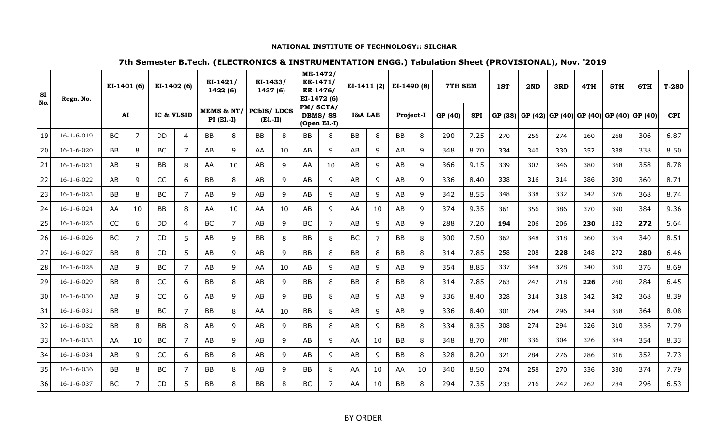### **NATIONAL INSTITUTE OF TECHNOLOGY:: SILCHAR**

# **7th Semester B.Tech. (ELECTRONICS & INSTRUMENTATION ENGG.) Tabulation Sheet (PROVISIONAL), Nov. '2019**

| <b>S1.</b><br>No. | Regn. No.          | EI-1401 (6)<br>${\bf AI}$ |    | EI-1402 (6)<br>IC & VLSID |                | $EI-1421/$<br>1422 (6)<br>MEMS & NT/<br>$PI$ (El.-I) |    | EI-1433/<br>1437 (6)<br><b>PCbIS/LDCS</b><br>$(E1.-II)$ |    | ME-1472/<br>EE-1471/<br>EE-1476/<br>EI-1472 (6)<br>$PM/$ SCTA/<br><b>DBMS/SS</b><br>$(Open$ El.-I) |    |         | $EI-1411(2)$ |           | EI-1490 (8) |         | <b>7TH SEM</b> |         | 2ND             | 3RD | 4TH    | 5TH     | 6TH     | $T-280$    |
|-------------------|--------------------|---------------------------|----|---------------------------|----------------|------------------------------------------------------|----|---------------------------------------------------------|----|----------------------------------------------------------------------------------------------------|----|---------|--------------|-----------|-------------|---------|----------------|---------|-----------------|-----|--------|---------|---------|------------|
|                   |                    |                           |    |                           |                |                                                      |    |                                                         |    |                                                                                                    |    | I&A LAB |              | Project-I |             | GP (40) | <b>SPI</b>     | GP (38) | GP (42) GP (40) |     | GP(40) | GP (40) | GP (40) | <b>CPI</b> |
| 19                | $16 - 1 - 6 - 019$ | BC                        | 7  | DD                        | 4              | <b>BB</b>                                            | 8  | <b>BB</b>                                               | 8  | BB                                                                                                 | 8  | BB      | 8            | BB        | 8           | 290     | 7.25           | 270     | 256             | 274 | 260    | 268     | 306     | 6.87       |
| 20                | $16 - 1 - 6 - 020$ | BB                        | 8  | BC                        | $\overline{7}$ | AB                                                   | 9  | AA                                                      | 10 | AB                                                                                                 | 9  | AB      | 9            | AB        | 9           | 348     | 8.70           | 334     | 340             | 330 | 352    | 338     | 338     | 8.50       |
| 21                | $16 - 1 - 6 - 021$ | AB                        | 9  | BB                        | 8              | AA                                                   | 10 | AB                                                      | 9  | AA                                                                                                 | 10 | AB      | 9            | AB        | 9           | 366     | 9.15           | 339     | 302             | 346 | 380    | 368     | 358     | 8.78       |
| 22                | $16-1-6-022$       | AB                        | 9  | <b>CC</b>                 | 6              | <b>BB</b>                                            | 8  | AB                                                      | 9  | AB                                                                                                 | 9  | AB      | 9            | AB        | 9           | 336     | 8.40           | 338     | 316             | 314 | 386    | 390     | 360     | 8.71       |
| 23                | $16 - 1 - 6 - 023$ | <b>BB</b>                 | 8  | <b>BC</b>                 | $\overline{7}$ | AB                                                   | 9  | AB                                                      | 9  | AB                                                                                                 | 9  | AB      | 9            | AB        | 9           | 342     | 8.55           | 348     | 338             | 332 | 342    | 376     | 368     | 8.74       |
| 24                | $16 - 1 - 6 - 024$ | AA                        | 10 | <b>BB</b>                 | 8              | AA                                                   | 10 | AA                                                      | 10 | AB                                                                                                 | 9  | AA      | 10           | AB        | 9           | 374     | 9.35           | 361     | 356             | 386 | 370    | 390     | 384     | 9.36       |
| 25                | $16 - 1 - 6 - 025$ | CC                        | 6  | DD                        | 4              | <b>BC</b>                                            | 7  | AB                                                      | 9  | <b>BC</b>                                                                                          | 7  | AB      | 9            | AB        | 9           | 288     | 7.20           | 194     | 206             | 206 | 230    | 182     | 272     | 5.64       |
| 26                | $16 - 1 - 6 - 026$ | BC                        | 7  | <b>CD</b>                 | 5              | AB                                                   | 9  | BB                                                      | 8  | BB                                                                                                 | 8  | BC      | 7            | <b>BB</b> | 8           | 300     | 7.50           | 362     | 348             | 318 | 360    | 354     | 340     | 8.51       |
| 27                | $16 - 1 - 6 - 027$ | <b>BB</b>                 | 8  | CD                        | 5              | AB                                                   | 9  | AB                                                      | 9  | BB                                                                                                 | 8  | BB      | 8            | <b>BB</b> | 8           | 314     | 7.85           | 258     | 208             | 228 | 248    | 272     | 280     | 6.46       |
| 28                | $16-1-6-028$       | AB                        | 9  | <b>BC</b>                 | $\overline{7}$ | AB                                                   | 9  | AA                                                      | 10 | AB                                                                                                 | 9  | AB      | 9            | AB        | 9           | 354     | 8.85           | 337     | 348             | 328 | 340    | 350     | 376     | 8.69       |
| 29                | $16 - 1 - 6 - 029$ | <b>BB</b>                 | 8  | CC                        | 6              | <b>BB</b>                                            | 8  | AB                                                      | 9  | BB                                                                                                 | 8  | BB      | 8            | <b>BB</b> | 8           | 314     | 7.85           | 263     | 242             | 218 | 226    | 260     | 284     | 6.45       |
| 30                | $16 - 1 - 6 - 030$ | AB                        | 9  | CC                        | 6              | AB                                                   | 9  | AB                                                      | 9  | BB                                                                                                 | 8  | AB      | 9            | AB        | 9           | 336     | 8.40           | 328     | 314             | 318 | 342    | 342     | 368     | 8.39       |
| 31                | $16 - 1 - 6 - 031$ | <b>BB</b>                 | 8  | <b>BC</b>                 | $\overline{7}$ | <b>BB</b>                                            | 8  | AA                                                      | 10 | <b>BB</b>                                                                                          | 8  | AB      | 9            | AB        | 9           | 336     | 8.40           | 301     | 264             | 296 | 344    | 358     | 364     | 8.08       |
| 32                | 16-1-6-032         | <b>BB</b>                 | 8  | BB                        | 8              | AB                                                   | 9  | AB                                                      | 9  | <b>BB</b>                                                                                          | 8  | AB      | 9            | <b>BB</b> | 8           | 334     | 8.35           | 308     | 274             | 294 | 326    | 310     | 336     | 7.79       |
| 33                | $16 - 1 - 6 - 033$ | AA                        | 10 | <b>BC</b>                 | $\overline{7}$ | AB                                                   | 9  | AB                                                      | 9  | AB                                                                                                 | 9  | AA      | 10           | <b>BB</b> | 8           | 348     | 8.70           | 281     | 336             | 304 | 326    | 384     | 354     | 8.33       |
| 34                | $16 - 1 - 6 - 034$ | AB                        | 9  | CC                        | 6              | BB                                                   | 8  | AB                                                      | 9  | AB                                                                                                 | 9  | AB      | 9            | <b>BB</b> | 8           | 328     | 8.20           | 321     | 284             | 276 | 286    | 316     | 352     | 7.73       |
| 35                | 16-1-6-036         | <b>BB</b>                 | 8  | BC                        | $\overline{7}$ | BB                                                   | 8  | AB                                                      | 9  | BB                                                                                                 | 8  | AA      | 10           | AA        | 10          | 340     | 8.50           | 274     | 258             | 270 | 336    | 330     | 374     | 7.79       |
| 36                | 16-1-6-037         | BC                        | 7  | <b>CD</b>                 | 5              | BB                                                   | 8  | <b>BB</b>                                               | 8  | BC                                                                                                 | 7  | AA      | 10           | <b>BB</b> | 8           | 294     | 7.35           | 233     | 216             | 242 | 262    | 284     | 296     | 6.53       |